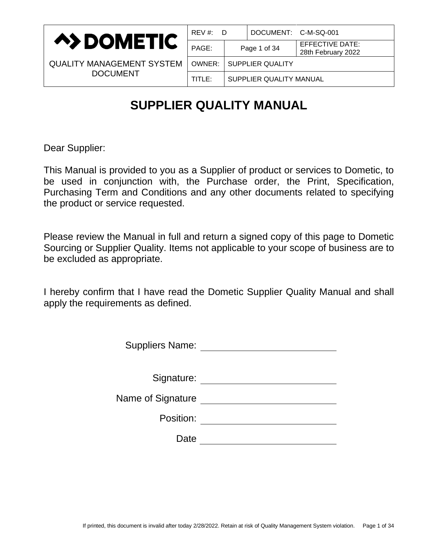

| REV #: D |  | DOCUMENT: C-M-SQ-001             |                                              |  |
|----------|--|----------------------------------|----------------------------------------------|--|
| PAGE:    |  | Page 1 of 34                     | <b>EFFECTIVE DATE:</b><br>28th February 2022 |  |
|          |  | <b>OWNER:   SUPPLIER QUALITY</b> |                                              |  |
| TITLE:   |  | SUPPLIER QUALITY MANUAL          |                                              |  |

# **SUPPLIER QUALITY MANUAL**

Dear Supplier:

This Manual is provided to you as a Supplier of product or services to Dometic, to be used in conjunction with, the Purchase order, the Print, Specification, Purchasing Term and Conditions and any other documents related to specifying the product or service requested.

Please review the Manual in full and return a signed copy of this page to Dometic Sourcing or Supplier Quality. Items not applicable to your scope of business are to be excluded as appropriate.

I hereby confirm that I have read the Dometic Supplier Quality Manual and shall apply the requirements as defined.

| <b>Suppliers Name:</b> |  |
|------------------------|--|
|------------------------|--|

| Signature: |  |  |
|------------|--|--|
|            |  |  |

| Name of Signature |  |
|-------------------|--|
|-------------------|--|

Position: <u>\_\_\_\_\_\_\_\_\_\_\_\_\_\_\_\_\_\_</u>

Date <u>\_\_\_\_\_\_\_\_\_\_\_\_\_\_\_</u>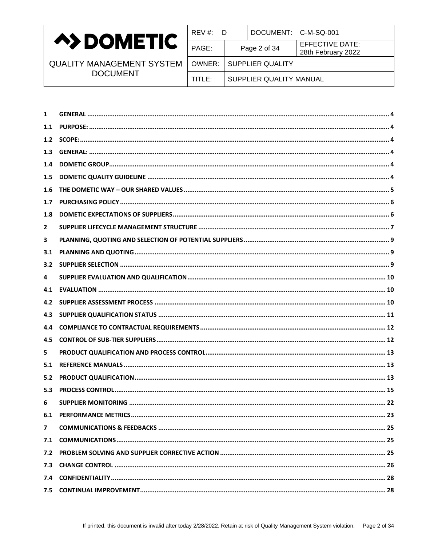

| REV #: D                  |                         | DOCUMENT: C-M-SQ-001 |                                       |
|---------------------------|-------------------------|----------------------|---------------------------------------|
| PAGE:                     |                         | Page 2 of 34         | EFFECTIVE DATE:<br>28th February 2022 |
| OWNER:   SUPPLIER QUALITY |                         |                      |                                       |
| TITLE:                    | SUPPLIER QUALITY MANUAL |                      |                                       |
|                           |                         |                      |                                       |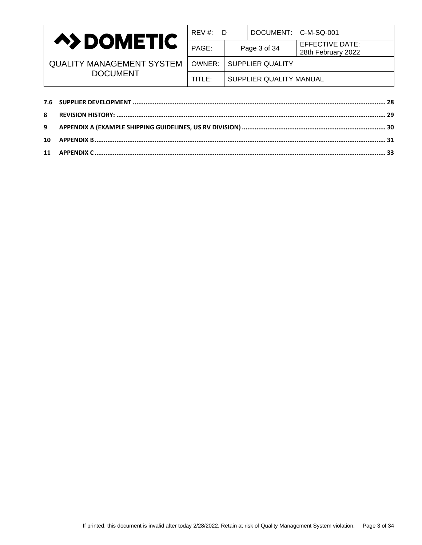

| REV #:<br>D               |  | DOCUMENT: C-M-SQ-001    |                                              |  |
|---------------------------|--|-------------------------|----------------------------------------------|--|
| PAGE:                     |  | Page 3 of 34            | <b>EFFECTIVE DATE:</b><br>28th February 2022 |  |
| OWNER:   SUPPLIER QUALITY |  |                         |                                              |  |
| TITLE:                    |  | SUPPLIER QUALITY MANUAL |                                              |  |
|                           |  |                         |                                              |  |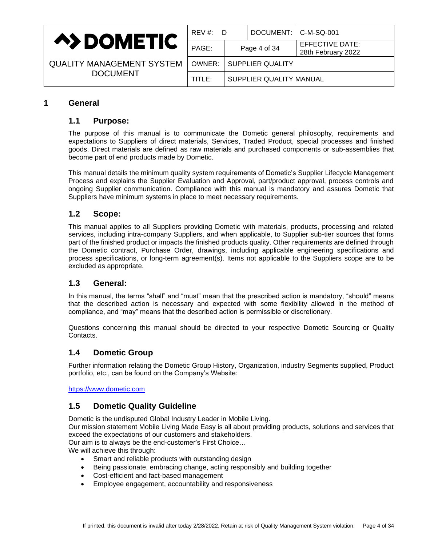

| REV#:D   |  | DOCUMENT: C-M-SQ-001    |                                              |
|----------|--|-------------------------|----------------------------------------------|
| PAGE:    |  | Page 4 of 34            | <b>EFFECTIVE DATE:</b><br>28th February 2022 |
| OWNER: I |  | SUPPLIER QUALITY        |                                              |
| TITLE: I |  | SUPPLIER QUALITY MANUAL |                                              |
|          |  |                         |                                              |

# <span id="page-3-1"></span><span id="page-3-0"></span>**1 General**

# **1.1 Purpose:**

The purpose of this manual is to communicate the Dometic general philosophy, requirements and expectations to Suppliers of direct materials, Services, Traded Product, special processes and finished goods. Direct materials are defined as raw materials and purchased components or sub-assemblies that become part of end products made by Dometic.

This manual details the minimum quality system requirements of Dometic's Supplier Lifecycle Management Process and explains the Supplier Evaluation and Approval, part/product approval, process controls and ongoing Supplier communication. Compliance with this manual is mandatory and assures Dometic that Suppliers have minimum systems in place to meet necessary requirements.

# <span id="page-3-2"></span>**1.2 Scope:**

This manual applies to all Suppliers providing Dometic with materials, products, processing and related services, including intra-company Suppliers, and when applicable, to Supplier sub-tier sources that forms part of the finished product or impacts the finished products quality. Other requirements are defined through the Dometic contract, Purchase Order, drawings, including applicable engineering specifications and process specifications, or long-term agreement(s). Items not applicable to the Suppliers scope are to be excluded as appropriate.

# <span id="page-3-3"></span>**1.3 General:**

In this manual, the terms "shall" and "must" mean that the prescribed action is mandatory, "should" means that the described action is necessary and expected with some flexibility allowed in the method of compliance, and "may" means that the described action is permissible or discretionary.

Questions concerning this manual should be directed to your respective Dometic Sourcing or Quality Contacts.

# <span id="page-3-4"></span>**1.4 Dometic Group**

Further information relating the Dometic Group History, Organization, industry Segments supplied, Product portfolio, etc., can be found on the Company's Website:

<span id="page-3-5"></span>[https://www.dometic.com](https://www.dometic.com/)

# **1.5 Dometic Quality Guideline**

Dometic is the undisputed Global Industry Leader in Mobile Living.

Our mission statement Mobile Living Made Easy is all about providing products, solutions and services that exceed the expectations of our customers and stakeholders.

Our aim is to always be the end-customer's First Choice…

We will achieve this through:

- Smart and reliable products with outstanding design
- Being passionate, embracing change, acting responsibly and building together
- Cost-efficient and fact-based management
- Employee engagement, accountability and responsiveness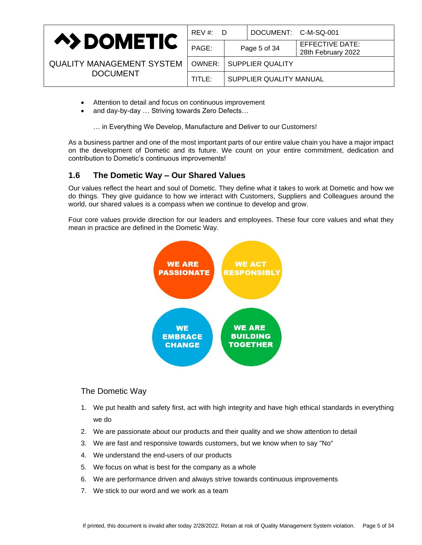|                                  | $REV \#$ :<br>- D |              | DOCUMENT: C-M-SQ-001    |                                       |  |
|----------------------------------|-------------------|--------------|-------------------------|---------------------------------------|--|
| <b>A&gt;DOMETIC</b>              | PAGE:             | Page 5 of 34 |                         | EFFECTIVE DATE:<br>28th February 2022 |  |
| <b>QUALITY MANAGEMENT SYSTEM</b> | OWNER:            |              | SUPPLIER QUALITY        |                                       |  |
| <b>DOCUMENT</b>                  | TITLE:            |              | SUPPLIER QUALITY MANUAL |                                       |  |

- Attention to detail and focus on continuous improvement
- and day-by-day … Striving towards Zero Defects…

… in Everything We Develop, Manufacture and Deliver to our Customers!

As a business partner and one of the most important parts of our entire value chain you have a major impact on the development of Dometic and its future. We count on your entire commitment, dedication and contribution to Dometic's continuous improvements!

# <span id="page-4-0"></span>**1.6 The Dometic Way – Our Shared Values**

Our values reflect the heart and soul of Dometic. They define what it takes to work at Dometic and how we do things. They give guidance to how we interact with Customers, Suppliers and Colleagues around the world, our shared values is a compass when we continue to develop and grow.

Four core values provide direction for our leaders and employees. These four core values and what they mean in practice are defined in the Dometic Way.



### The Dometic Way

- 1. We put health and safety first, act with high integrity and have high ethical standards in everything we do
- 2. We are passionate about our products and their quality and we show attention to detail
- 3. We are fast and responsive towards customers, but we know when to say "No"
- 4. We understand the end-users of our products
- 5. We focus on what is best for the company as a whole
- 6. We are performance driven and always strive towards continuous improvements
- 7. We stick to our word and we work as a team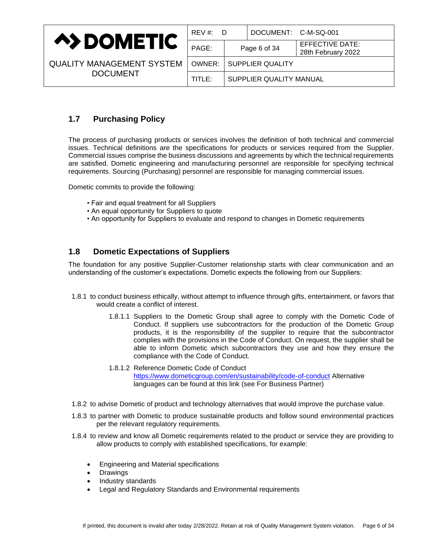|                                  | REV #:<br>- D |                         | DOCUMENT: C-M-SQ-001 |                                       |
|----------------------------------|---------------|-------------------------|----------------------|---------------------------------------|
| <b>A&gt;DOMETIC</b>              | PAGE:         |                         | Page 6 of 34         | EFFECTIVE DATE:<br>28th February 2022 |
| <b>QUALITY MANAGEMENT SYSTEM</b> | OWNER: I      | SUPPLIER QUALITY        |                      |                                       |
| <b>DOCUMENT</b>                  | TITLE:        | SUPPLIER QUALITY MANUAL |                      |                                       |

# <span id="page-5-0"></span>**1.7 Purchasing Policy**

The process of purchasing products or services involves the definition of both technical and commercial issues. Technical definitions are the specifications for products or services required from the Supplier. Commercial issues comprise the business discussions and agreements by which the technical requirements are satisfied. Dometic engineering and manufacturing personnel are responsible for specifying technical requirements. Sourcing (Purchasing) personnel are responsible for managing commercial issues.

Dometic commits to provide the following:

- Fair and equal treatment for all Suppliers
- An equal opportunity for Suppliers to quote
- An opportunity for Suppliers to evaluate and respond to changes in Dometic requirements

# <span id="page-5-1"></span>**1.8 Dometic Expectations of Suppliers**

The foundation for any positive Supplier-Customer relationship starts with clear communication and an understanding of the customer's expectations. Dometic expects the following from our Suppliers:

- 1.8.1 to conduct business ethically, without attempt to influence through gifts, entertainment, or favors that would create a conflict of interest.
	- 1.8.1.1 Suppliers to the Dometic Group shall agree to comply with the Dometic Code of Conduct. If suppliers use subcontractors for the production of the Dometic Group products, it is the responsibility of the supplier to require that the subcontractor complies with the provisions in the Code of Conduct. On request, the supplier shall be able to inform Dometic which subcontractors they use and how they ensure the compliance with the Code of Conduct.
	- 1.8.1.2 Reference Dometic Code of Conduct [https://www.dometicgroup.com/en/sustainability/code-of-conduct](https://eur04.safelinks.protection.outlook.com/?url=https%3A%2F%2Fwww.dometicgroup.com%2Fen%2Fsustainability%2Fcode-of-conduct&data=04%7C01%7Canabel.velazquez%40Dometic.com%7Ca79f666d5d0341e7715408d9faa194a3%7Cc83e430bcad846ebb0c747e6cb3eb387%7C1%7C0%7C637816394160028404%7CUnknown%7CTWFpbGZsb3d8eyJWIjoiMC4wLjAwMDAiLCJQIjoiV2luMzIiLCJBTiI6Ik1haWwiLCJXVCI6Mn0%3D%7C3000&sdata=do6bcEJAV3I3DESsKeRZetzUkEKbOEKh1KHs%2FUx9fpk%3D&reserved=0) Alternative languages can be found at this link (see For Business Partner)
- 1.8.2 to advise Dometic of product and technology alternatives that would improve the purchase value.
- 1.8.3 to partner with Dometic to produce sustainable products and follow sound environmental practices per the relevant regulatory requirements.
- 1.8.4 to review and know all Dometic requirements related to the product or service they are providing to allow products to comply with established specifications, for example:
	- Engineering and Material specifications
	- Drawings
	- Industry standards
	- Legal and Regulatory Standards and Environmental requirements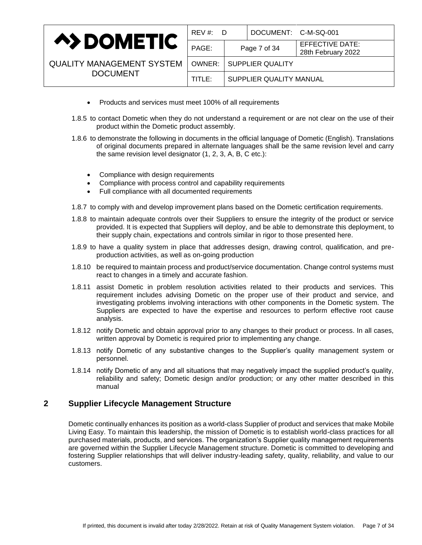|                                  | $REV \#$ :<br>- D |                         | DOCUMENT: C-M-SQ-001 |                                       |
|----------------------------------|-------------------|-------------------------|----------------------|---------------------------------------|
| <b>A&gt;DOMETIC</b>              | PAGE:             |                         | Page 7 of 34         | EFFECTIVE DATE:<br>28th February 2022 |
| <b>QUALITY MANAGEMENT SYSTEM</b> | OWNER:            | SUPPLIER QUALITY        |                      |                                       |
| <b>DOCUMENT</b>                  | TITLE:            | SUPPLIER QUALITY MANUAL |                      |                                       |

- Products and services must meet 100% of all requirements
- 1.8.5 to contact Dometic when they do not understand a requirement or are not clear on the use of their product within the Dometic product assembly.
- 1.8.6 to demonstrate the following in documents in the official language of Dometic (English). Translations of original documents prepared in alternate languages shall be the same revision level and carry the same revision level designator (1, 2, 3, A, B, C etc.):
	- Compliance with design requirements
	- Compliance with process control and capability requirements
	- Full compliance with all documented requirements
- 1.8.7 to comply with and develop improvement plans based on the Dometic certification requirements.
- 1.8.8 to maintain adequate controls over their Suppliers to ensure the integrity of the product or service provided. It is expected that Suppliers will deploy, and be able to demonstrate this deployment, to their supply chain, expectations and controls similar in rigor to those presented here.
- 1.8.9 to have a quality system in place that addresses design, drawing control, qualification, and preproduction activities, as well as on-going production
- 1.8.10 be required to maintain process and product/service documentation. Change control systems must react to changes in a timely and accurate fashion.
- 1.8.11 assist Dometic in problem resolution activities related to their products and services. This requirement includes advising Dometic on the proper use of their product and service, and investigating problems involving interactions with other components in the Dometic system. The Suppliers are expected to have the expertise and resources to perform effective root cause analysis.
- 1.8.12 notify Dometic and obtain approval prior to any changes to their product or process. In all cases, written approval by Dometic is required prior to implementing any change.
- 1.8.13 notify Dometic of any substantive changes to the Supplier's quality management system or personnel.
- 1.8.14 notify Dometic of any and all situations that may negatively impact the supplied product's quality, reliability and safety; Dometic design and/or production; or any other matter described in this manual

# <span id="page-6-0"></span>**2 Supplier Lifecycle Management Structure**

Dometic continually enhances its position as a world-class Supplier of product and services that make Mobile Living Easy. To maintain this leadership, the mission of Dometic is to establish world-class practices for all purchased materials, products, and services. The organization's Supplier quality management requirements are governed within the Supplier Lifecycle Management structure. Dometic is committed to developing and fostering Supplier relationships that will deliver industry-leading safety, quality, reliability, and value to our customers.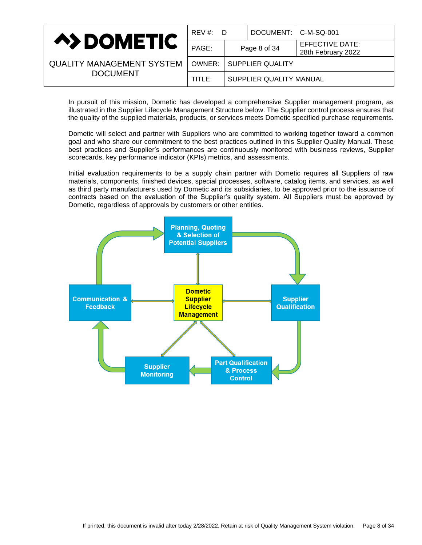|                                  | REV #:<br>- D |                         | DOCUMENT: C-M-SQ-001 |                                       |
|----------------------------------|---------------|-------------------------|----------------------|---------------------------------------|
| <b>A&gt;DOMETIC</b>              | PAGE:         |                         | Page 8 of 34         | EFFECTIVE DATE:<br>28th February 2022 |
| <b>QUALITY MANAGEMENT SYSTEM</b> | OWNER:        | <b>SUPPLIER QUALITY</b> |                      |                                       |
| <b>DOCUMENT</b>                  | TITLE:        | SUPPLIER QUALITY MANUAL |                      |                                       |

In pursuit of this mission, Dometic has developed a comprehensive Supplier management program, as illustrated in the Supplier Lifecycle Management Structure below. The Supplier control process ensures that the quality of the supplied materials, products, or services meets Dometic specified purchase requirements.

Dometic will select and partner with Suppliers who are committed to working together toward a common goal and who share our commitment to the best practices outlined in this Supplier Quality Manual. These best practices and Supplier's performances are continuously monitored with business reviews, Supplier scorecards, key performance indicator (KPIs) metrics, and assessments.

Initial evaluation requirements to be a supply chain partner with Dometic requires all Suppliers of raw materials, components, finished devices, special processes, software, catalog items, and services, as well as third party manufacturers used by Dometic and its subsidiaries, to be approved prior to the issuance of contracts based on the evaluation of the Supplier's quality system. All Suppliers must be approved by Dometic, regardless of approvals by customers or other entities.

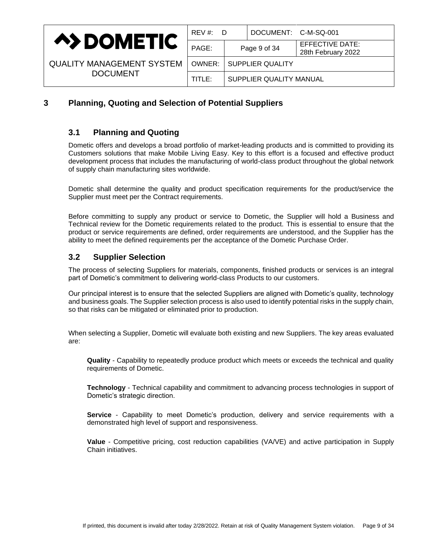

| <b>QUALITY MANAGEMENT SYSTEM</b> |
|----------------------------------|
| <b>DOCUMENT</b>                  |

| REV #:<br>D |  | DOCUMENT: C-M-SQ-001    |                                              |
|-------------|--|-------------------------|----------------------------------------------|
| PAGE:       |  | Page 9 of 34            | <b>EFFECTIVE DATE:</b><br>28th February 2022 |
| OWNER: I    |  | <b>SUPPLIER QUALITY</b> |                                              |
| TITLE:      |  | SUPPLIER QUALITY MANUAL |                                              |
|             |  |                         |                                              |

# <span id="page-8-1"></span><span id="page-8-0"></span>**3 Planning, Quoting and Selection of Potential Suppliers**

# **3.1 Planning and Quoting**

Dometic offers and develops a broad portfolio of market-leading products and is committed to providing its Customers solutions that make Mobile Living Easy. Key to this effort is a focused and effective product development process that includes the manufacturing of world-class product throughout the global network of supply chain manufacturing sites worldwide.

Dometic shall determine the quality and product specification requirements for the product/service the Supplier must meet per the Contract requirements.

Before committing to supply any product or service to Dometic, the Supplier will hold a Business and Technical review for the Dometic requirements related to the product. This is essential to ensure that the product or service requirements are defined, order requirements are understood, and the Supplier has the ability to meet the defined requirements per the acceptance of the Dometic Purchase Order.

# <span id="page-8-2"></span>**3.2 Supplier Selection**

The process of selecting Suppliers for materials, components, finished products or services is an integral part of Dometic's commitment to delivering world-class Products to our customers.

Our principal interest is to ensure that the selected Suppliers are aligned with Dometic's quality, technology and business goals. The Supplier selection process is also used to identify potential risks in the supply chain, so that risks can be mitigated or eliminated prior to production.

When selecting a Supplier, Dometic will evaluate both existing and new Suppliers. The key areas evaluated are:

**Quality** - Capability to repeatedly produce product which meets or exceeds the technical and quality requirements of Dometic.

**Technology** - Technical capability and commitment to advancing process technologies in support of Dometic's strategic direction.

**Service** - Capability to meet Dometic's production, delivery and service requirements with a demonstrated high level of support and responsiveness.

**Value** - Competitive pricing, cost reduction capabilities (VA/VE) and active participation in Supply Chain initiatives.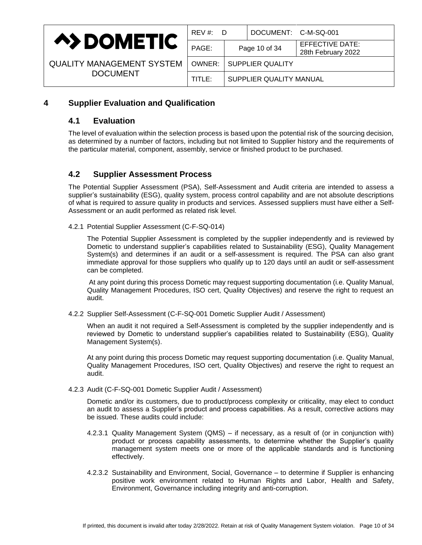

| REV #:<br>D |                           | DOCUMENT: C-M-SQ-001 |                                              |  |
|-------------|---------------------------|----------------------|----------------------------------------------|--|
| PAGE:       | Page 10 of 34             |                      | <b>EFFECTIVE DATE:</b><br>28th February 2022 |  |
|             | OWNER:   SUPPLIER QUALITY |                      |                                              |  |
| TITLE: I    | SUPPLIER QUALITY MANUAL   |                      |                                              |  |

# <span id="page-9-1"></span><span id="page-9-0"></span>**4 Supplier Evaluation and Qualification**

# **4.1 Evaluation**

The level of evaluation within the selection process is based upon the potential risk of the sourcing decision, as determined by a number of factors, including but not limited to Supplier history and the requirements of the particular material, component, assembly, service or finished product to be purchased.

# <span id="page-9-2"></span>**4.2 Supplier Assessment Process**

The Potential Supplier Assessment (PSA), Self-Assessment and Audit criteria are intended to assess a supplier's sustainability (ESG), quality system, process control capability and are not absolute descriptions of what is required to assure quality in products and services. Assessed suppliers must have either a Self-Assessment or an audit performed as related risk level.

4.2.1 Potential Supplier Assessment (C-F-SQ-014)

The Potential Supplier Assessment is completed by the supplier independently and is reviewed by Dometic to understand supplier's capabilities related to Sustainability (ESG), Quality Management System(s) and determines if an audit or a self-assessment is required. The PSA can also grant immediate approval for those suppliers who qualify up to 120 days until an audit or self-assessment can be completed.

At any point during this process Dometic may request supporting documentation (i.e. Quality Manual, Quality Management Procedures, ISO cert, Quality Objectives) and reserve the right to request an audit.

4.2.2 Supplier Self-Assessment (C-F-SQ-001 Dometic Supplier Audit / Assessment)

When an audit it not required a Self-Assessment is completed by the supplier independently and is reviewed by Dometic to understand supplier's capabilities related to Sustainability (ESG), Quality Management System(s).

At any point during this process Dometic may request supporting documentation (i.e. Quality Manual, Quality Management Procedures, ISO cert, Quality Objectives) and reserve the right to request an audit.

4.2.3 Audit (C-F-SQ-001 Dometic Supplier Audit / Assessment)

Dometic and/or its customers, due to product/process complexity or criticality, may elect to conduct an audit to assess a Supplier's product and process capabilities. As a result, corrective actions may be issued. These audits could include:

- 4.2.3.1 Quality Management System (QMS) if necessary, as a result of (or in conjunction with) product or process capability assessments, to determine whether the Supplier's quality management system meets one or more of the applicable standards and is functioning effectively.
- 4.2.3.2 Sustainability and Environment, Social, Governance to determine if Supplier is enhancing positive work environment related to Human Rights and Labor, Health and Safety, Environment, Governance including integrity and anti-corruption.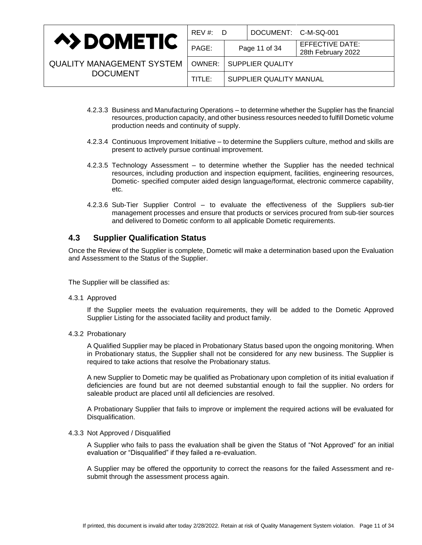|                                  | REV #: D |                         | DOCUMENT: C-M-SQ-001             |                                       |
|----------------------------------|----------|-------------------------|----------------------------------|---------------------------------------|
| <b>A&gt;DOMETIC</b>              | PAGE:    | Page 11 of 34           |                                  | EFFECTIVE DATE:<br>28th February 2022 |
| <b>QUALITY MANAGEMENT SYSTEM</b> |          |                         | <b>OWNER:   SUPPLIER QUALITY</b> |                                       |
| <b>DOCUMENT</b>                  | TITLE:   | SUPPLIER QUALITY MANUAL |                                  |                                       |

- 4.2.3.3 Business and Manufacturing Operations to determine whether the Supplier has the financial resources, production capacity, and other business resources needed to fulfill Dometic volume production needs and continuity of supply.
- 4.2.3.4 Continuous Improvement Initiative to determine the Suppliers culture, method and skills are present to actively pursue continual improvement.
- 4.2.3.5 Technology Assessment to determine whether the Supplier has the needed technical resources, including production and inspection equipment, facilities, engineering resources, Dometic- specified computer aided design language/format, electronic commerce capability, etc.
- 4.2.3.6 Sub-Tier Supplier Control to evaluate the effectiveness of the Suppliers sub-tier management processes and ensure that products or services procured from sub-tier sources and delivered to Dometic conform to all applicable Dometic requirements.

# <span id="page-10-0"></span>**4.3 Supplier Qualification Status**

Once the Review of the Supplier is complete, Dometic will make a determination based upon the Evaluation and Assessment to the Status of the Supplier.

The Supplier will be classified as:

4.3.1 Approved

If the Supplier meets the evaluation requirements, they will be added to the Dometic Approved Supplier Listing for the associated facility and product family.

4.3.2 Probationary

A Qualified Supplier may be placed in Probationary Status based upon the ongoing monitoring. When in Probationary status, the Supplier shall not be considered for any new business. The Supplier is required to take actions that resolve the Probationary status.

A new Supplier to Dometic may be qualified as Probationary upon completion of its initial evaluation if deficiencies are found but are not deemed substantial enough to fail the supplier. No orders for saleable product are placed until all deficiencies are resolved.

A Probationary Supplier that fails to improve or implement the required actions will be evaluated for Disqualification.

#### 4.3.3 Not Approved / Disqualified

A Supplier who fails to pass the evaluation shall be given the Status of "Not Approved" for an initial evaluation or "Disqualified" if they failed a re-evaluation.

A Supplier may be offered the opportunity to correct the reasons for the failed Assessment and resubmit through the assessment process again.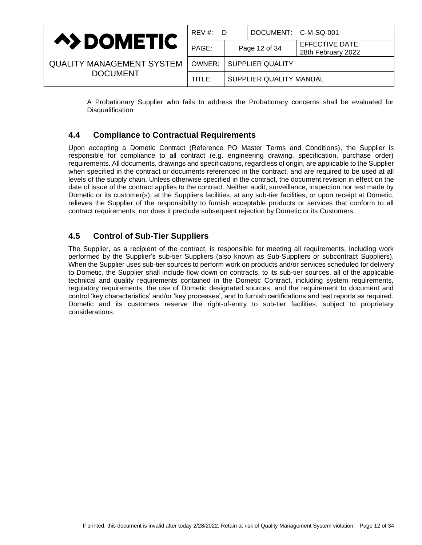|                                  | $REV \#$ :<br>D. |                         | DOCUMENT: C-M-SQ-001 |                                       |
|----------------------------------|------------------|-------------------------|----------------------|---------------------------------------|
| <b>A&gt;DOMETIC</b>              | PAGE:            |                         | Page 12 of 34        | EFFECTIVE DATE:<br>28th February 2022 |
| <b>QUALITY MANAGEMENT SYSTEM</b> | OWNER:           |                         | SUPPLIER QUALITY     |                                       |
| <b>DOCUMENT</b>                  | TITLE:           | SUPPLIER QUALITY MANUAL |                      |                                       |

A Probationary Supplier who fails to address the Probationary concerns shall be evaluated for **Disqualification** 

# <span id="page-11-0"></span>**4.4 Compliance to Contractual Requirements**

Upon accepting a Dometic Contract (Reference PO Master Terms and Conditions), the Supplier is responsible for compliance to all contract (e.g. engineering drawing, specification, purchase order) requirements. All documents, drawings and specifications, regardless of origin, are applicable to the Supplier when specified in the contract or documents referenced in the contract, and are required to be used at all levels of the supply chain. Unless otherwise specified in the contract, the document revision in effect on the date of issue of the contract applies to the contract. Neither audit, surveillance, inspection nor test made by Dometic or its customer(s), at the Suppliers facilities, at any sub-tier facilities, or upon receipt at Dometic, relieves the Supplier of the responsibility to furnish acceptable products or services that conform to all contract requirements; nor does it preclude subsequent rejection by Dometic or its Customers.

# <span id="page-11-1"></span>**4.5 Control of Sub-Tier Suppliers**

The Supplier, as a recipient of the contract, is responsible for meeting all requirements, including work performed by the Supplier's sub-tier Suppliers (also known as Sub-Suppliers or subcontract Suppliers). When the Supplier uses sub-tier sources to perform work on products and/or services scheduled for delivery to Dometic, the Supplier shall include flow down on contracts, to its sub-tier sources, all of the applicable technical and quality requirements contained in the Dometic Contract, including system requirements, regulatory requirements, the use of Dometic designated sources, and the requirement to document and control 'key characteristics' and/or 'key processes', and to furnish certifications and test reports as required. Dometic and its customers reserve the right-of-entry to sub-tier facilities, subject to proprietary considerations.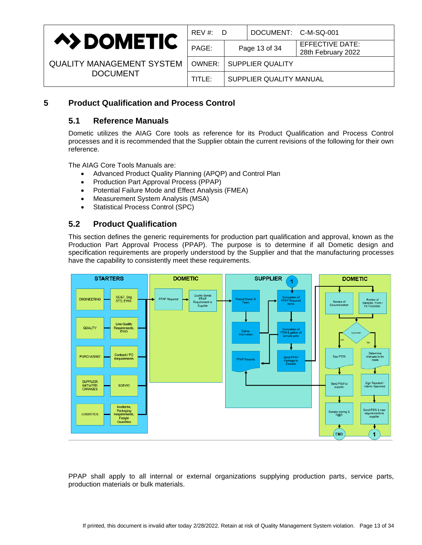

| REV #:<br>D |               | DOCUMENT: C-M-SQ-001    |                                              |
|-------------|---------------|-------------------------|----------------------------------------------|
| PAGE:       | Page 13 of 34 |                         | <b>EFFECTIVE DATE:</b><br>28th February 2022 |
| OWNER:      |               | SUPPLIER QUALITY        |                                              |
| TITLE:      |               | SUPPLIER QUALITY MANUAL |                                              |
|             |               |                         |                                              |

# <span id="page-12-1"></span><span id="page-12-0"></span>**5 Product Qualification and Process Control**

# **5.1 Reference Manuals**

Dometic utilizes the AIAG Core tools as reference for its Product Qualification and Process Control processes and it is recommended that the Supplier obtain the current revisions of the following for their own reference.

The AIAG Core Tools Manuals are:

- Advanced Product Quality Planning (APQP) and Control Plan
- Production Part Approval Process (PPAP)
- Potential Failure Mode and Effect Analysis (FMEA)
- Measurement System Analysis (MSA)
- Statistical Process Control (SPC)

# <span id="page-12-2"></span>**5.2 Product Qualification**

This section defines the generic requirements for production part qualification and approval, known as the Production Part Approval Process (PPAP). The purpose is to determine if all Dometic design and specification requirements are properly understood by the Supplier and that the manufacturing processes have the capability to consistently meet these requirements.



PPAP shall apply to all internal or external organizations supplying production parts, service parts, production materials or bulk materials.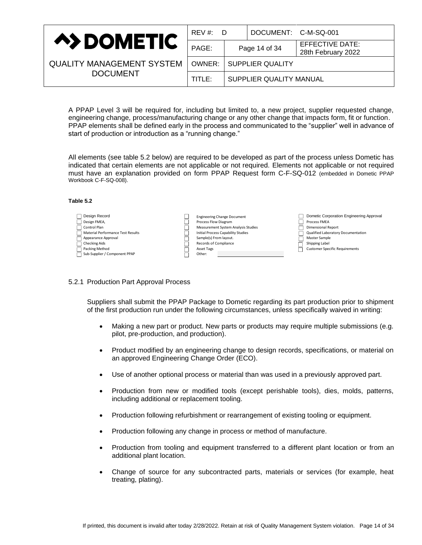| <b>A&gt;DOMETIC</b>              | REV #: D |                         | DOCUMENT: C-M-SQ-001             |                                       |
|----------------------------------|----------|-------------------------|----------------------------------|---------------------------------------|
|                                  | PAGE:    |                         | Page 14 of 34                    | EFFECTIVE DATE:<br>28th February 2022 |
| <b>QUALITY MANAGEMENT SYSTEM</b> |          |                         | <b>OWNER:   SUPPLIER QUALITY</b> |                                       |
| <b>DOCUMENT</b>                  | TITLE:   | SUPPLIER QUALITY MANUAL |                                  |                                       |

A PPAP Level 3 will be required for, including but limited to, a new project, supplier requested change, engineering change, process/manufacturing change or any other change that impacts form, fit or function. PPAP elements shall be defined early in the process and communicated to the "supplier" well in advance of start of production or introduction as a "running change."

All elements (see table 5.2 below) are required to be developed as part of the process unless Dometic has indicated that certain elements are not applicable or not required. Elements not applicable or not required must have an explanation provided on form PPAP Request form C-F-SQ-012 (embedded in Dometic PPAP Workbook C-F-SQ-008).

#### **Table 5.2**

| Design Record<br>Design FMEA,<br>Control Plan<br>Material Performance Test Results<br>Appearance Approval<br><b>Checking Aids</b><br>Packing Method | <b>Engineering Change Document</b><br>Process Flow Diagram<br>Measurement System Analysis Studies<br>Initial Process Capability Studies<br>Sample(s) From layout.<br>Records of Compliance<br>Asset Tags | Dometic Corporation Engineering Approval<br>Process FMEA<br><b>Dimensional Report</b><br>Qualified Laboratory Documentation<br>Master Sample<br>Shipping Label<br><b>Customer Specific Requirements</b> |
|-----------------------------------------------------------------------------------------------------------------------------------------------------|----------------------------------------------------------------------------------------------------------------------------------------------------------------------------------------------------------|---------------------------------------------------------------------------------------------------------------------------------------------------------------------------------------------------------|
| Sub-Supplier / Component PPAP                                                                                                                       | Other:                                                                                                                                                                                                   |                                                                                                                                                                                                         |

#### 5.2.1 Production Part Approval Process

Suppliers shall submit the PPAP Package to Dometic regarding its part production prior to shipment of the first production run under the following circumstances, unless specifically waived in writing:

- Making a new part or product. New parts or products may require multiple submissions (e.g. pilot, pre-production, and production).
- Product modified by an engineering change to design records, specifications, or material on an approved Engineering Change Order (ECO).
- Use of another optional process or material than was used in a previously approved part.
- Production from new or modified tools (except perishable tools), dies, molds, patterns, including additional or replacement tooling.
- Production following refurbishment or rearrangement of existing tooling or equipment.
- Production following any change in process or method of manufacture.
- Production from tooling and equipment transferred to a different plant location or from an additional plant location.
- Change of source for any subcontracted parts, materials or services (for example, heat treating, plating).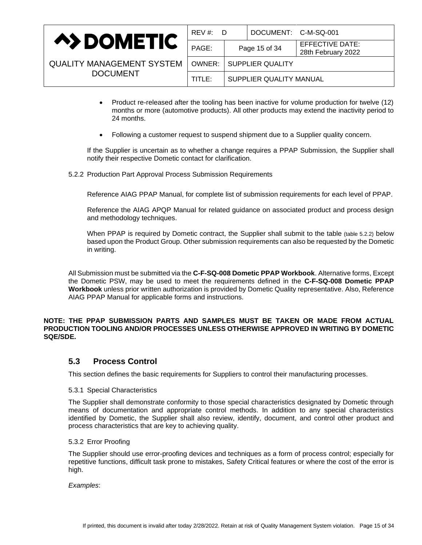|                                  | $REV \#$ :<br>- D |                         | DOCUMENT: C-M-SQ-001 |                                       |
|----------------------------------|-------------------|-------------------------|----------------------|---------------------------------------|
| <b>A&gt;DOMETIC</b>              | PAGE:             |                         | Page 15 of 34        | EFFECTIVE DATE:<br>28th February 2022 |
| <b>QUALITY MANAGEMENT SYSTEM</b> | OWNER:            | SUPPLIER QUALITY        |                      |                                       |
| <b>DOCUMENT</b>                  | TITLE:            | SUPPLIER QUALITY MANUAL |                      |                                       |

- Product re-released after the tooling has been inactive for volume production for twelve (12) months or more (automotive products). All other products may extend the inactivity period to 24 months.
- Following a customer request to suspend shipment due to a Supplier quality concern.

If the Supplier is uncertain as to whether a change requires a PPAP Submission, the Supplier shall notify their respective Dometic contact for clarification.

5.2.2 Production Part Approval Process Submission Requirements

Reference AIAG PPAP Manual, for complete list of submission requirements for each level of PPAP.

Reference the AIAG APQP Manual for related guidance on associated product and process design and methodology techniques.

When PPAP is required by Dometic contract, the Supplier shall submit to the table (table 5.2.2) below based upon the Product Group. Other submission requirements can also be requested by the Dometic in writing.

All Submission must be submitted via the **C-F-SQ-008 Dometic PPAP Workbook**. Alternative forms, Except the Dometic PSW, may be used to meet the requirements defined in the **C-F-SQ-008 Dometic PPAP Workbook** unless prior written authorization is provided by Dometic Quality representative. Also, Reference AIAG PPAP Manual for applicable forms and instructions.

### **NOTE: THE PPAP SUBMISSION PARTS AND SAMPLES MUST BE TAKEN OR MADE FROM ACTUAL PRODUCTION TOOLING AND/OR PROCESSES UNLESS OTHERWISE APPROVED IN WRITING BY DOMETIC SQE/SDE.**

### <span id="page-14-0"></span>**5.3 Process Control**

This section defines the basic requirements for Suppliers to control their manufacturing processes.

#### 5.3.1 Special Characteristics

The Supplier shall demonstrate conformity to those special characteristics designated by Dometic through means of documentation and appropriate control methods. In addition to any special characteristics identified by Dometic, the Supplier shall also review, identify, document, and control other product and process characteristics that are key to achieving quality.

### 5.3.2 Error Proofing

The Supplier should use error-proofing devices and techniques as a form of process control; especially for repetitive functions, difficult task prone to mistakes, Safety Critical features or where the cost of the error is high.

*Examples*: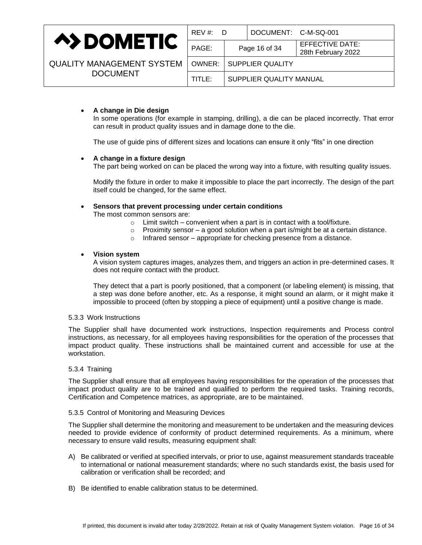

| REV #:<br>D |               | DOCUMENT: C-M-SQ-001      |                                              |  |
|-------------|---------------|---------------------------|----------------------------------------------|--|
| PAGE:       | Page 16 of 34 |                           | <b>EFFECTIVE DATE:</b><br>28th February 2022 |  |
|             |               | OWNER:   SUPPLIER QUALITY |                                              |  |
| TITLE:      |               | SUPPLIER QUALITY MANUAL   |                                              |  |
|             |               |                           |                                              |  |

### • **A change in Die design**

In some operations (for example in stamping, drilling), a die can be placed incorrectly. That error can result in product quality issues and in damage done to the die.

The use of guide pins of different sizes and locations can ensure it only "fits" in one direction

#### • **A change in a fixture design**

The part being worked on can be placed the wrong way into a fixture, with resulting quality issues.

Modify the fixture in order to make it impossible to place the part incorrectly. The design of the part itself could be changed, for the same effect.

# • **Sensors that prevent processing under certain conditions**

The most common sensors are:

- $\circ$  Limit switch convenient when a part is in contact with a tool/fixture.
- $\circ$  Proximity sensor a good solution when a part is/might be at a certain distance.
- o Infrared sensor appropriate for checking presence from a distance.

#### • **Vision system**

A [vision system](https://en.wikipedia.org/wiki/Machine_vision) captures images, analyzes them, and triggers an action in pre-determined cases. It does not require contact with the product.

They detect that a part is poorly positioned, that a component (or labeling element) is missing, that a step was done before another, etc. As a response, it might sound an alarm, or it might make it impossible to proceed (often by stopping a piece of equipment) until a positive change is made.

#### 5.3.3 Work Instructions

The Supplier shall have documented work instructions, Inspection requirements and Process control instructions, as necessary, for all employees having responsibilities for the operation of the processes that impact product quality. These instructions shall be maintained current and accessible for use at the workstation.

#### 5.3.4 Training

The Supplier shall ensure that all employees having responsibilities for the operation of the processes that impact product quality are to be trained and qualified to perform the required tasks. Training records, Certification and Competence matrices, as appropriate, are to be maintained.

#### 5.3.5 Control of Monitoring and Measuring Devices

The Supplier shall determine the monitoring and measurement to be undertaken and the measuring devices needed to provide evidence of conformity of product determined requirements. As a minimum, where necessary to ensure valid results, measuring equipment shall:

- A) Be calibrated or verified at specified intervals, or prior to use, against measurement standards traceable to international or national measurement standards; where no such standards exist, the basis used for calibration or verification shall be recorded; and
- B) Be identified to enable calibration status to be determined.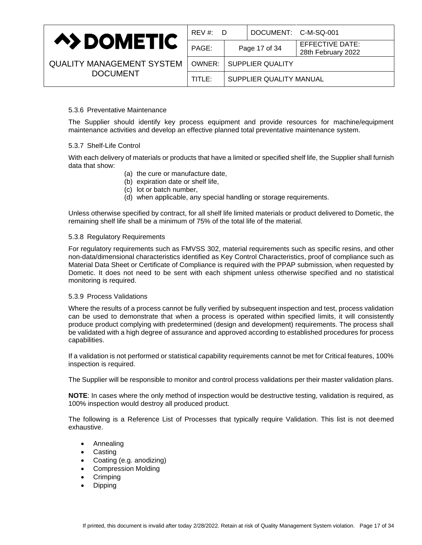

| REV #:<br>D |               | DOCUMENT: C-M-SQ-001      |                                              |
|-------------|---------------|---------------------------|----------------------------------------------|
| PAGE:       | Page 17 of 34 |                           | <b>EFFECTIVE DATE:</b><br>28th February 2022 |
|             |               | OWNER:   SUPPLIER QUALITY |                                              |
| TITLE: I    |               | SUPPLIER QUALITY MANUAL   |                                              |
|             |               |                           |                                              |

### 5.3.6 Preventative Maintenance

The Supplier should identify key process equipment and provide resources for machine/equipment maintenance activities and develop an effective planned total preventative maintenance system.

### 5.3.7 Shelf-Life Control

With each delivery of materials or products that have a limited or specified shelf life, the Supplier shall furnish data that show:

- (a) the cure or manufacture date,
- (b) expiration date or shelf life,
- (c) lot or batch number,
- (d) when applicable, any special handling or storage requirements.

Unless otherwise specified by contract, for all shelf life limited materials or product delivered to Dometic, the remaining shelf life shall be a minimum of 75% of the total life of the material.

#### 5.3.8 Regulatory Requirements

For regulatory requirements such as FMVSS 302, material requirements such as specific resins, and other non-data/dimensional characteristics identified as Key Control Characteristics, proof of compliance such as Material Data Sheet or Certificate of Compliance is required with the PPAP submission, when requested by Dometic. It does not need to be sent with each shipment unless otherwise specified and no statistical monitoring is required.

#### 5.3.9 Process Validations

Where the results of a process cannot be fully verified by subsequent inspection and test, process validation can be used to demonstrate that when a process is operated within specified limits, it will consistently produce product complying with predetermined (design and development) requirements. The process shall be validated with a high degree of assurance and approved according to established procedures for process capabilities.

If a validation is not performed or statistical capability requirements cannot be met for Critical features, 100% inspection is required.

The Supplier will be responsible to monitor and control process validations per their master validation plans.

**NOTE**: In cases where the only method of inspection would be destructive testing, validation is required, as 100% inspection would destroy all produced product.

The following is a Reference List of Processes that typically require Validation. This list is not deemed exhaustive.

- Annealing
- Casting
- Coating (e.g. anodizing)
- Compression Molding
- **Crimping**
- Dipping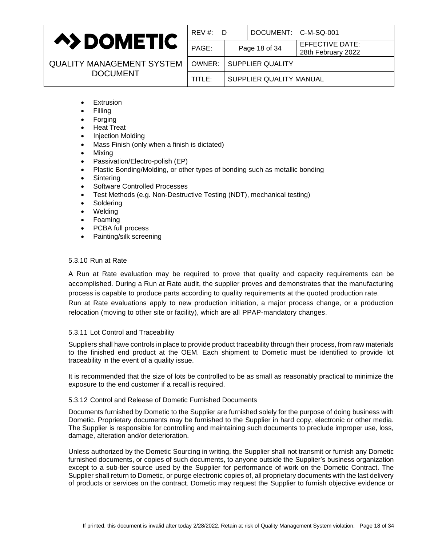

| REV#:D |                         | DOCUMENT: C-M-SQ-001 |                                              |
|--------|-------------------------|----------------------|----------------------------------------------|
| PAGE:  | Page 18 of 34           |                      | <b>EFFECTIVE DATE:</b><br>28th February 2022 |
| OWNER: | <b>SUPPLIER QUALITY</b> |                      |                                              |
| TITLE: | SUPPLIER QUALITY MANUAL |                      |                                              |
|        |                         |                      |                                              |

- **Extrusion**
- Filling
- Forging
- Heat Treat
- Injection Molding
- Mass Finish (only when a finish is dictated)
- Mixing
- Passivation/Electro-polish (EP)
- Plastic Bonding/Molding, or other types of bonding such as metallic bonding
- **Sintering**
- Software Controlled Processes
- Test Methods (e.g. Non-Destructive Testing (NDT), mechanical testing)
- **Soldering**
- Welding
- Foaming
- PCBA full process
- Painting/silk screening

### 5.3.10 Run at Rate

A Run at Rate evaluation may be required to prove that quality and capacity requirements can be accomplished. During a Run at Rate audit, the supplier proves and demonstrates that the manufacturing process is capable to produce parts according to quality requirements at the quoted production rate. Run at Rate evaluations apply to new production initiation, a major process change, or a production relocation (moving to other site or facility), which are all [PPAP-](http://www.qmindset.com/index.php?page=ppap)mandatory changes.

### 5.3.11 Lot Control and Traceability

Suppliers shall have controls in place to provide product traceability through their process, from raw materials to the finished end product at the OEM. Each shipment to Dometic must be identified to provide lot traceability in the event of a quality issue.

It is recommended that the size of lots be controlled to be as small as reasonably practical to minimize the exposure to the end customer if a recall is required.

### 5.3.12 Control and Release of Dometic Furnished Documents

Documents furnished by Dometic to the Supplier are furnished solely for the purpose of doing business with Dometic. Proprietary documents may be furnished to the Supplier in hard copy, electronic or other media. The Supplier is responsible for controlling and maintaining such documents to preclude improper use, loss, damage, alteration and/or deterioration.

Unless authorized by the Dometic Sourcing in writing, the Supplier shall not transmit or furnish any Dometic furnished documents, or copies of such documents, to anyone outside the Supplier's business organization except to a sub-tier source used by the Supplier for performance of work on the Dometic Contract. The Supplier shall return to Dometic, or purge electronic copies of, all proprietary documents with the last delivery of products or services on the contract. Dometic may request the Supplier to furnish objective evidence or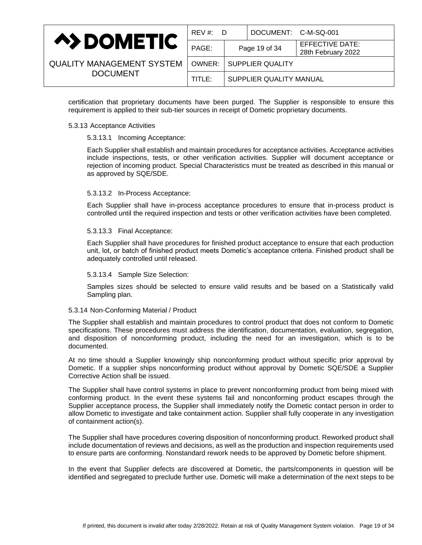|                                  | REV #: D |                           | DOCUMENT: C-M-SQ-001 |                                       |
|----------------------------------|----------|---------------------------|----------------------|---------------------------------------|
| <b>A&gt;DOMETIC</b>              | PAGE:    | Page 19 of 34             |                      | EFFECTIVE DATE:<br>28th February 2022 |
| <b>QUALITY MANAGEMENT SYSTEM</b> |          | OWNER:   SUPPLIER QUALITY |                      |                                       |
| <b>DOCUMENT</b>                  | TITLE:   | SUPPLIER QUALITY MANUAL   |                      |                                       |

certification that proprietary documents have been purged. The Supplier is responsible to ensure this requirement is applied to their sub-tier sources in receipt of Dometic proprietary documents.

#### 5.3.13 Acceptance Activities

#### 5.3.13.1 Incoming Acceptance:

Each Supplier shall establish and maintain procedures for acceptance activities. Acceptance activities include inspections, tests, or other verification activities. Supplier will document acceptance or rejection of incoming product. Special Characteristics must be treated as described in this manual or as approved by SQE/SDE.

#### 5.3.13.2 In-Process Acceptance:

Each Supplier shall have in-process acceptance procedures to ensure that in-process product is controlled until the required inspection and tests or other verification activities have been completed.

### 5.3.13.3 Final Acceptance:

Each Supplier shall have procedures for finished product acceptance to ensure that each production unit, lot, or batch of finished product meets Dometic's acceptance criteria. Finished product shall be adequately controlled until released.

#### 5.3.13.4 Sample Size Selection:

Samples sizes should be selected to ensure valid results and be based on a Statistically valid Sampling plan.

### 5.3.14 Non-Conforming Material / Product

The Supplier shall establish and maintain procedures to control product that does not conform to Dometic specifications. These procedures must address the identification, documentation, evaluation, segregation, and disposition of nonconforming product, including the need for an investigation, which is to be documented.

At no time should a Supplier knowingly ship nonconforming product without specific prior approval by Dometic. If a supplier ships nonconforming product without approval by Dometic SQE/SDE a Supplier Corrective Action shall be issued.

The Supplier shall have control systems in place to prevent nonconforming product from being mixed with conforming product. In the event these systems fail and nonconforming product escapes through the Supplier acceptance process, the Supplier shall immediately notify the Dometic contact person in order to allow Dometic to investigate and take containment action. Supplier shall fully cooperate in any investigation of containment action(s).

The Supplier shall have procedures covering disposition of nonconforming product. Reworked product shall include documentation of reviews and decisions, as well as the production and inspection requirements used to ensure parts are conforming. Nonstandard rework needs to be approved by Dometic before shipment.

In the event that Supplier defects are discovered at Dometic, the parts/components in question will be identified and segregated to preclude further use. Dometic will make a determination of the next steps to be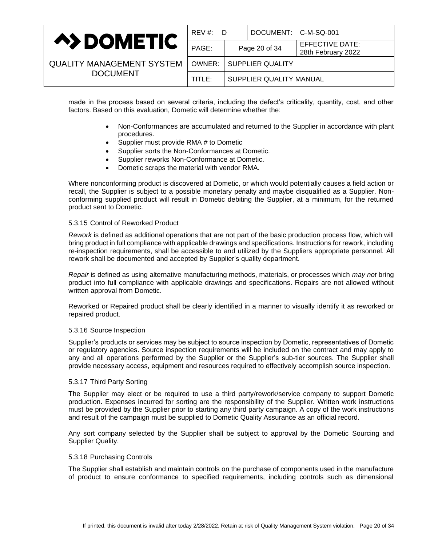|                                  | REV #: D |                         | DOCUMENT: C-M-SQ-001 |                                       |
|----------------------------------|----------|-------------------------|----------------------|---------------------------------------|
| <b>A&gt;DOMETIC</b>              | PAGE:    |                         | Page 20 of 34        | EFFECTIVE DATE:<br>28th February 2022 |
| <b>QUALITY MANAGEMENT SYSTEM</b> | OWNER: I | <b>SUPPLIER QUALITY</b> |                      |                                       |
| <b>DOCUMENT</b>                  | TITLE:   | SUPPLIER QUALITY MANUAL |                      |                                       |

made in the process based on several criteria, including the defect's criticality, quantity, cost, and other factors. Based on this evaluation, Dometic will determine whether the:

- Non-Conformances are accumulated and returned to the Supplier in accordance with plant procedures.
- Supplier must provide RMA # to Dometic
- Supplier sorts the Non-Conformances at Dometic.
- Supplier reworks Non-Conformance at Dometic.
- Dometic scraps the material with vendor RMA.

Where nonconforming product is discovered at Dometic, or which would potentially causes a field action or recall, the Supplier is subject to a possible monetary penalty and maybe disqualified as a Supplier. Nonconforming supplied product will result in Dometic debiting the Supplier, at a minimum, for the returned product sent to Dometic.

### 5.3.15 Control of Reworked Product

*Rework* is defined as additional operations that are not part of the basic production process flow, which will bring product in full compliance with applicable drawings and specifications. Instructions for rework, including re-inspection requirements, shall be accessible to and utilized by the Suppliers appropriate personnel. All rework shall be documented and accepted by Supplier's quality department.

*Repair* is defined as using alternative manufacturing methods, materials, or processes which *may not* bring product into full compliance with applicable drawings and specifications. Repairs are not allowed without written approval from Dometic.

Reworked or Repaired product shall be clearly identified in a manner to visually identify it as reworked or repaired product.

#### 5.3.16 Source Inspection

Supplier's products or services may be subject to source inspection by Dometic, representatives of Dometic or regulatory agencies. Source inspection requirements will be included on the contract and may apply to any and all operations performed by the Supplier or the Supplier's sub-tier sources. The Supplier shall provide necessary access, equipment and resources required to effectively accomplish source inspection.

#### 5.3.17 Third Party Sorting

The Supplier may elect or be required to use a third party/rework/service company to support Dometic production. Expenses incurred for sorting are the responsibility of the Supplier. Written work instructions must be provided by the Supplier prior to starting any third party campaign. A copy of the work instructions and result of the campaign must be supplied to Dometic Quality Assurance as an official record.

Any sort company selected by the Supplier shall be subject to approval by the Dometic Sourcing and Supplier Quality.

#### 5.3.18 Purchasing Controls

The Supplier shall establish and maintain controls on the purchase of components used in the manufacture of product to ensure conformance to specified requirements, including controls such as dimensional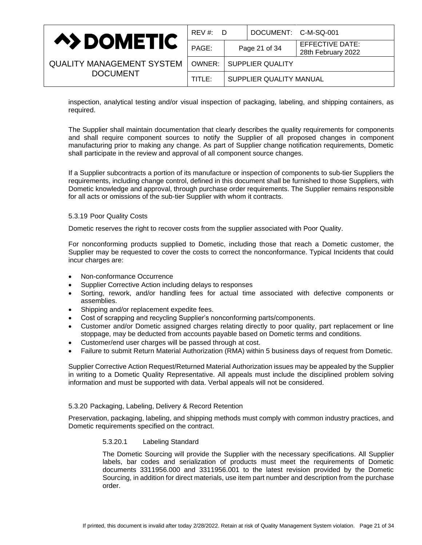|                                  | $REV \#$ :<br>- D |                         | DOCUMENT: C-M-SQ-001 |                                       |
|----------------------------------|-------------------|-------------------------|----------------------|---------------------------------------|
| <b>A&gt;DOMETIC</b>              | PAGE:             | Page 21 of 34           |                      | EFFECTIVE DATE:<br>28th February 2022 |
| <b>QUALITY MANAGEMENT SYSTEM</b> | OWNER:            | <b>SUPPLIER QUALITY</b> |                      |                                       |
| <b>DOCUMENT</b>                  | TITLE:            | SUPPLIER QUALITY MANUAL |                      |                                       |

inspection, analytical testing and/or visual inspection of packaging, labeling, and shipping containers, as required.

The Supplier shall maintain documentation that clearly describes the quality requirements for components and shall require component sources to notify the Supplier of all proposed changes in component manufacturing prior to making any change. As part of Supplier change notification requirements, Dometic shall participate in the review and approval of all component source changes.

If a Supplier subcontracts a portion of its manufacture or inspection of components to sub-tier Suppliers the requirements, including change control, defined in this document shall be furnished to those Suppliers, with Dometic knowledge and approval, through purchase order requirements. The Supplier remains responsible for all acts or omissions of the sub-tier Supplier with whom it contracts.

#### 5.3.19 Poor Quality Costs

Dometic reserves the right to recover costs from the supplier associated with Poor Quality.

For nonconforming products supplied to Dometic, including those that reach a Dometic customer, the Supplier may be requested to cover the costs to correct the nonconformance. Typical Incidents that could incur charges are:

- Non-conformance Occurrence
- Supplier Corrective Action including delays to responses
- Sorting, rework, and/or handling fees for actual time associated with defective components or assemblies.
- Shipping and/or replacement expedite fees.
- Cost of scrapping and recycling Supplier's nonconforming parts/components.
- Customer and/or Dometic assigned charges relating directly to poor quality, part replacement or line stoppage, may be deducted from accounts payable based on Dometic terms and conditions.
- Customer/end user charges will be passed through at cost.
- Failure to submit Return Material Authorization (RMA) within 5 business days of request from Dometic.

Supplier Corrective Action Request/Returned Material Authorization issues may be appealed by the Supplier in writing to a Dometic Quality Representative. All appeals must include the disciplined problem solving information and must be supported with data. Verbal appeals will not be considered.

#### 5.3.20 Packaging, Labeling, Delivery & Record Retention

Preservation, packaging, labeling, and shipping methods must comply with common industry practices, and Dometic requirements specified on the contract.

#### 5.3.20.1 Labeling Standard

The Dometic Sourcing will provide the Supplier with the necessary specifications. All Supplier labels, bar codes and serialization of products must meet the requirements of Dometic documents 3311956.000 and 3311956.001 to the latest revision provided by the Dometic Sourcing, in addition for direct materials, use item part number and description from the purchase order.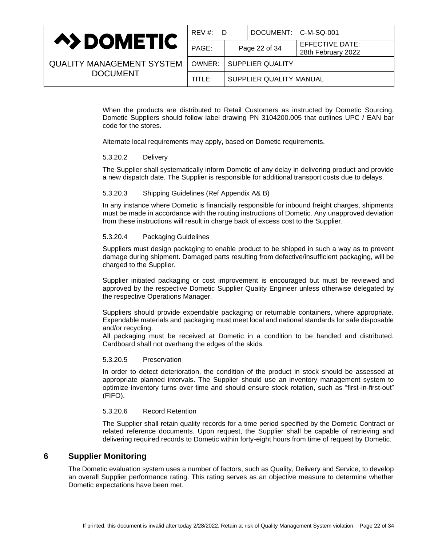|                                  | REV #: D |                         | DOCUMENT: C-M-SQ-001 |                                       |
|----------------------------------|----------|-------------------------|----------------------|---------------------------------------|
| <b>A&gt;DOMETIC</b>              | PAGE:    | Page 22 of 34           |                      | EFFECTIVE DATE:<br>28th February 2022 |
| <b>QUALITY MANAGEMENT SYSTEM</b> | OWNER:   | <b>SUPPLIER QUALITY</b> |                      |                                       |
| <b>DOCUMENT</b>                  | TITLE:   | SUPPLIER QUALITY MANUAL |                      |                                       |

When the products are distributed to Retail Customers as instructed by Dometic Sourcing, Dometic Suppliers should follow label drawing PN 3104200.005 that outlines UPC / EAN bar code for the stores.

Alternate local requirements may apply, based on Dometic requirements.

### 5.3.20.2 Delivery

The Supplier shall systematically inform Dometic of any delay in delivering product and provide a new dispatch date. The Supplier is responsible for additional transport costs due to delays.

### 5.3.20.3 Shipping Guidelines (Ref Appendix A& B)

In any instance where Dometic is financially responsible for inbound freight charges, shipments must be made in accordance with the routing instructions of Dometic. Any unapproved deviation from these instructions will result in charge back of excess cost to the Supplier.

### 5.3.20.4 Packaging Guidelines

Suppliers must design packaging to enable product to be shipped in such a way as to prevent damage during shipment. Damaged parts resulting from defective/insufficient packaging, will be charged to the Supplier.

Supplier initiated packaging or cost improvement is encouraged but must be reviewed and approved by the respective Dometic Supplier Quality Engineer unless otherwise delegated by the respective Operations Manager.

Suppliers should provide expendable packaging or returnable containers, where appropriate. Expendable materials and packaging must meet local and national standards for safe disposable and/or recycling.

All packaging must be received at Dometic in a condition to be handled and distributed. Cardboard shall not overhang the edges of the skids.

### 5.3.20.5 Preservation

In order to detect deterioration, the condition of the product in stock should be assessed at appropriate planned intervals. The Supplier should use an inventory management system to optimize inventory turns over time and should ensure stock rotation, such as "first-in-first-out" (FIFO).

### 5.3.20.6 Record Retention

The Supplier shall retain quality records for a time period specified by the Dometic Contract or related reference documents. Upon request, the Supplier shall be capable of retrieving and delivering required records to Dometic within forty-eight hours from time of request by Dometic.

# <span id="page-21-0"></span>**6 Supplier Monitoring**

The Dometic evaluation system uses a number of factors, such as Quality, Delivery and Service, to develop an overall Supplier performance rating. This rating serves as an objective measure to determine whether Dometic expectations have been met.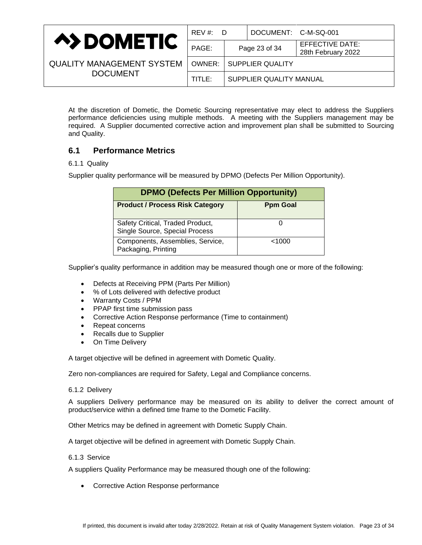|                                  | REV #: D |                                  | DOCUMENT: C-M-SQ-001    |                                       |
|----------------------------------|----------|----------------------------------|-------------------------|---------------------------------------|
| <b>A&gt;DOMETIC</b>              | PAGE:    | Page 23 of 34                    |                         | EFFECTIVE DATE:<br>28th February 2022 |
| <b>QUALITY MANAGEMENT SYSTEM</b> |          | <b>OWNER:   SUPPLIER QUALITY</b> |                         |                                       |
| <b>DOCUMENT</b>                  | TITLE:   |                                  | SUPPLIER QUALITY MANUAL |                                       |

At the discretion of Dometic, the Dometic Sourcing representative may elect to address the Suppliers performance deficiencies using multiple methods. A meeting with the Suppliers management may be required. A Supplier documented corrective action and improvement plan shall be submitted to Sourcing and Quality.

# <span id="page-22-0"></span>**6.1 Performance Metrics**

### 6.1.1 Quality

Supplier quality performance will be measured by DPMO (Defects Per Million Opportunity).

| <b>DPMO (Defects Per Million Opportunity)</b>                      |                 |  |  |
|--------------------------------------------------------------------|-----------------|--|--|
| <b>Product / Process Risk Category</b>                             | <b>Ppm Goal</b> |  |  |
| Safety Critical, Traded Product,<br>Single Source, Special Process |                 |  |  |
| Components, Assemblies, Service,<br>Packaging, Printing            | < 1000          |  |  |

Supplier's quality performance in addition may be measured though one or more of the following:

- Defects at Receiving PPM (Parts Per Million)
- % of Lots delivered with defective product
- Warranty Costs / PPM
- PPAP first time submission pass
- Corrective Action Response performance (Time to containment)
- Repeat concerns
- Recalls due to Supplier
- On Time Delivery

A target objective will be defined in agreement with Dometic Quality.

Zero non-compliances are required for Safety, Legal and Compliance concerns.

### 6.1.2 Delivery

A suppliers Delivery performance may be measured on its ability to deliver the correct amount of product/service within a defined time frame to the Dometic Facility.

Other Metrics may be defined in agreement with Dometic Supply Chain.

A target objective will be defined in agreement with Dometic Supply Chain.

### 6.1.3 Service

A suppliers Quality Performance may be measured though one of the following:

• Corrective Action Response performance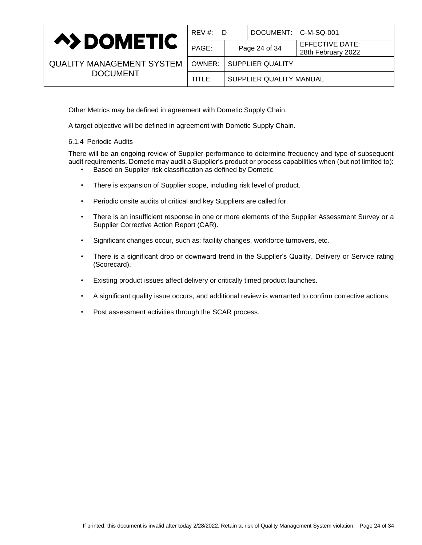

| <b>QUALITY MANAGEMENT SYSTEM</b> |
|----------------------------------|
| <b>DOCUMENT</b>                  |

| REV #:<br>D |                         | DOCUMENT: C-M-SQ-001 |                                              |
|-------------|-------------------------|----------------------|----------------------------------------------|
| PAGE:       |                         | Page 24 of 34        | <b>EFFECTIVE DATE:</b><br>28th February 2022 |
| OWNER: I    |                         | SUPPLIER QUALITY     |                                              |
| TITLE:      | SUPPLIER QUALITY MANUAL |                      |                                              |
|             |                         |                      |                                              |

Other Metrics may be defined in agreement with Dometic Supply Chain.

A target objective will be defined in agreement with Dometic Supply Chain.

### 6.1.4 Periodic Audits

There will be an ongoing review of Supplier performance to determine frequency and type of subsequent audit requirements. Dometic may audit a Supplier's product or process capabilities when (but not limited to):

- Based on Supplier risk classification as defined by Dometic
- There is expansion of Supplier scope, including risk level of product.
- Periodic onsite audits of critical and key Suppliers are called for.
- There is an insufficient response in one or more elements of the Supplier Assessment Survey or a Supplier Corrective Action Report (CAR).
- Significant changes occur, such as: facility changes, workforce turnovers, etc.
- There is a significant drop or downward trend in the Supplier's Quality, Delivery or Service rating (Scorecard).
- Existing product issues affect delivery or critically timed product launches.
- A significant quality issue occurs, and additional review is warranted to confirm corrective actions.
- Post assessment activities through the SCAR process.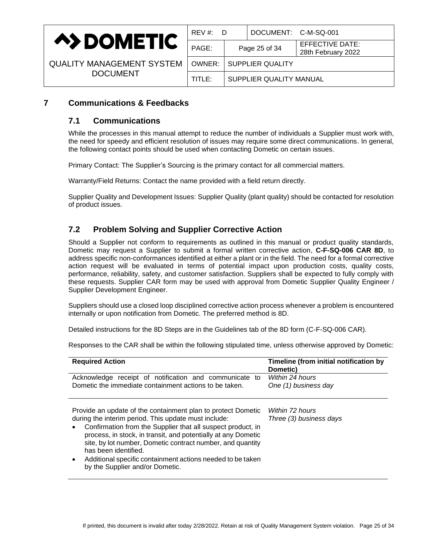

| <b>QUALITY MANAGEMENT SYSTEM</b> |  |
|----------------------------------|--|
| <b>DOCUMENT</b>                  |  |

| REV #:<br>D |                         | DOCUMENT: C-M-SQ-001    |                                              |
|-------------|-------------------------|-------------------------|----------------------------------------------|
| PAGE:       |                         | Page 25 of 34           | <b>EFFECTIVE DATE:</b><br>28th February 2022 |
| OWNER:      |                         | <b>SUPPLIER QUALITY</b> |                                              |
| TITLE:      | SUPPLIER QUALITY MANUAL |                         |                                              |

# <span id="page-24-1"></span><span id="page-24-0"></span>**7 Communications & Feedbacks**

# **7.1 Communications**

While the processes in this manual attempt to reduce the number of individuals a Supplier must work with, the need for speedy and efficient resolution of issues may require some direct communications. In general, the following contact points should be used when contacting Dometic on certain issues.

Primary Contact: The Supplier's Sourcing is the primary contact for all commercial matters.

Warranty/Field Returns: Contact the name provided with a field return directly.

Supplier Quality and Development Issues: Supplier Quality (plant quality) should be contacted for resolution of product issues.

# <span id="page-24-2"></span>**7.2 Problem Solving and Supplier Corrective Action**

Should a Supplier not conform to requirements as outlined in this manual or product quality standards, Dometic may request a Supplier to submit a formal written corrective action, **C-F-SQ-006 CAR 8D**, to address specific non-conformances identified at either a plant or in the field. The need for a formal corrective action request will be evaluated in terms of potential impact upon production costs, quality costs, performance, reliability, safety, and customer satisfaction. Suppliers shall be expected to fully comply with these requests. Supplier CAR form may be used with approval from Dometic Supplier Quality Engineer / Supplier Development Engineer.

Suppliers should use a closed loop disciplined corrective action process whenever a problem is encountered internally or upon notification from Dometic. The preferred method is 8D.

Detailed instructions for the 8D Steps are in the Guidelines tab of the 8D form (C-F-SQ-006 CAR).

Responses to the CAR shall be within the following stipulated time, unless otherwise approved by Dometic:

| <b>Required Action</b>                                                                                                                                                                                                                                                                                                                                                                                                                      | Timeline (from initial notification by<br>Dometic) |
|---------------------------------------------------------------------------------------------------------------------------------------------------------------------------------------------------------------------------------------------------------------------------------------------------------------------------------------------------------------------------------------------------------------------------------------------|----------------------------------------------------|
| Acknowledge receipt of notification and communicate to<br>Dometic the immediate containment actions to be taken.                                                                                                                                                                                                                                                                                                                            | Within 24 hours<br>One (1) business day            |
| Provide an update of the containment plan to protect Dometic<br>during the interim period. This update must include:<br>Confirmation from the Supplier that all suspect product, in<br>process, in stock, in transit, and potentially at any Dometic<br>site, by lot number, Dometic contract number, and quantity<br>has been identified.<br>Additional specific containment actions needed to be taken<br>by the Supplier and/or Dometic. | Within 72 hours<br>Three (3) business days         |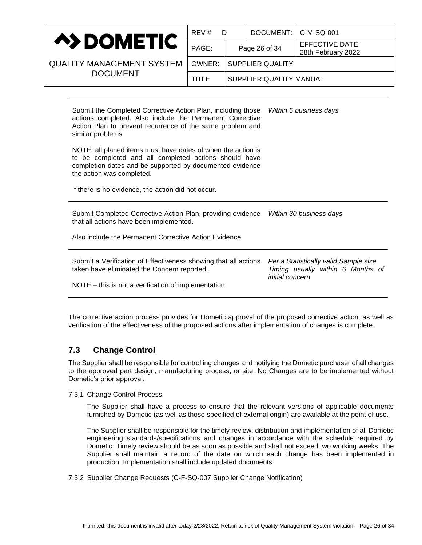

| REV #:<br>D                       |                         | DOCUMENT: C-M-SQ-001 |                                              |
|-----------------------------------|-------------------------|----------------------|----------------------------------------------|
| PAGE:                             |                         | Page 26 of 34        | <b>EFFECTIVE DATE:</b><br>28th February 2022 |
| <b>SUPPLIER QUALITY</b><br>OWNER: |                         |                      |                                              |
| TITLE:                            | SUPPLIER QUALITY MANUAL |                      |                                              |
|                                   |                         |                      |                                              |

Submit the Completed Corrective Action Plan, including those actions completed. Also include the Permanent Corrective Action Plan to prevent recurrence of the same problem and similar problems NOTE: all planed items must have dates of when the action is to be completed and all completed actions should have completion dates and be supported by documented evidence the action was completed. If there is no evidence, the action did not occur. *Within 5 business days* Submit Completed Corrective Action Plan, providing evidence *Within 30 business days* that all actions have been implemented. Also include the Permanent Corrective Action Evidence Submit a Verification of Effectiveness showing that all actions taken have eliminated the Concern reported. NOTE – this is not a verification of implementation. *Per a Statistically valid Sample size Timing usually within 6 Months of initial concern*

The corrective action process provides for Dometic approval of the proposed corrective action, as well as verification of the effectiveness of the proposed actions after implementation of changes is complete.

# <span id="page-25-0"></span>**7.3 Change Control**

The Supplier shall be responsible for controlling changes and notifying the Dometic purchaser of all changes to the approved part design, manufacturing process, or site. No Changes are to be implemented without Dometic's prior approval.

7.3.1 Change Control Process

The Supplier shall have a process to ensure that the relevant versions of applicable documents furnished by Dometic (as well as those specified of external origin) are available at the point of use.

The Supplier shall be responsible for the timely review, distribution and implementation of all Dometic engineering standards/specifications and changes in accordance with the schedule required by Dometic. Timely review should be as soon as possible and shall not exceed two working weeks. The Supplier shall maintain a record of the date on which each change has been implemented in production. Implementation shall include updated documents.

7.3.2 Supplier Change Requests (C-F-SQ-007 Supplier Change Notification)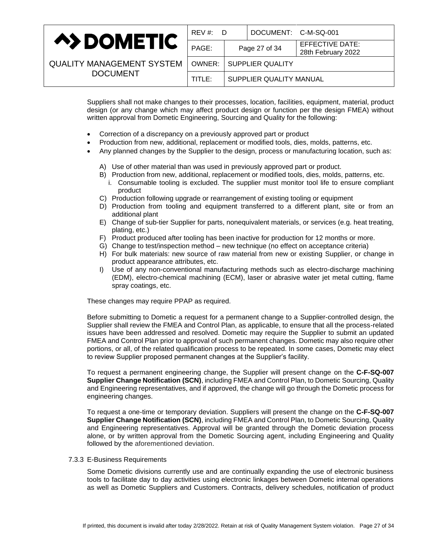|                                  | $REV \#$<br>- D |                         | DOCUMENT: C-M-SQ-001 |                                       |
|----------------------------------|-----------------|-------------------------|----------------------|---------------------------------------|
| <b>A&gt;DOMETIC</b>              | PAGE:           |                         | Page 27 of 34        | EFFECTIVE DATE:<br>28th February 2022 |
| <b>QUALITY MANAGEMENT SYSTEM</b> | OWNER:          |                         | SUPPLIER QUALITY     |                                       |
| <b>DOCUMENT</b>                  | TITLE:          | SUPPLIER QUALITY MANUAL |                      |                                       |

Suppliers shall not make changes to their processes, location, facilities, equipment, material, product design (or any change which may affect product design or function per the design FMEA) without written approval from Dometic Engineering, Sourcing and Quality for the following:

- Correction of a discrepancy on a previously approved part or product
- Production from new, additional, replacement or modified tools, dies, molds, patterns, etc.
- Any planned changes by the Supplier to the design, process or manufacturing location, such as:
	- A) Use of other material than was used in previously approved part or product.
	- B) Production from new, additional, replacement or modified tools, dies, molds, patterns, etc.
		- i. Consumable tooling is excluded. The supplier must monitor tool life to ensure compliant product
	- C) Production following upgrade or rearrangement of existing tooling or equipment
	- D) Production from tooling and equipment transferred to a different plant, site or from an additional plant
	- E) Change of sub-tier Supplier for parts, nonequivalent materials, or services (e.g. heat treating, plating, etc.)
	- F) Product produced after tooling has been inactive for production for 12 months or more.
	- G) Change to test/inspection method new technique (no effect on acceptance criteria)
	- H) For bulk materials: new source of raw material from new or existing Supplier, or change in product appearance attributes, etc.
	- I) Use of any non-conventional manufacturing methods such as electro-discharge machining (EDM), electro-chemical machining (ECM), laser or abrasive water jet metal cutting, flame spray coatings, etc.

These changes may require PPAP as required.

Before submitting to Dometic a request for a permanent change to a Supplier-controlled design, the Supplier shall review the FMEA and Control Plan, as applicable, to ensure that all the process-related issues have been addressed and resolved. Dometic may require the Supplier to submit an updated FMEA and Control Plan prior to approval of such permanent changes. Dometic may also require other portions, or all, of the related qualification process to be repeated. In some cases, Dometic may elect to review Supplier proposed permanent changes at the Supplier's facility.

To request a permanent engineering change, the Supplier will present change on the **C-F-SQ-007 Supplier Change Notification (SCN)**, including FMEA and Control Plan, to Dometic Sourcing, Quality and Engineering representatives, and if approved, the change will go through the Dometic process for engineering changes.

To request a one-time or temporary deviation. Suppliers will present the change on the **C-F-SQ-007 Supplier Change Notification (SCN)**, including FMEA and Control Plan, to Dometic Sourcing, Quality and Engineering representatives. Approval will be granted through the Dometic deviation process alone, or by written approval from the Dometic Sourcing agent, including Engineering and Quality followed by the aforementioned deviation.

#### 7.3.3 E-Business Requirements

Some Dometic divisions currently use and are continually expanding the use of electronic business tools to facilitate day to day activities using electronic linkages between Dometic internal operations as well as Dometic Suppliers and Customers. Contracts, delivery schedules, notification of product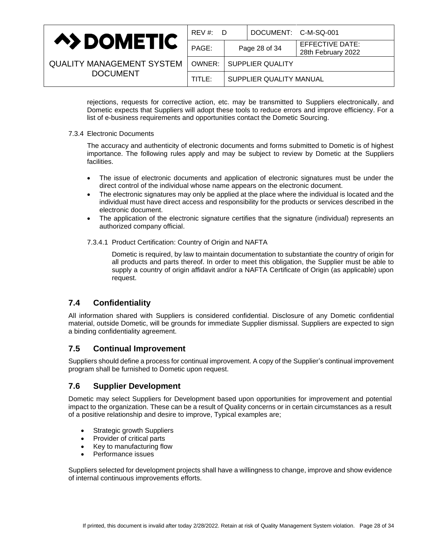|                                  | $REV \#$ :<br>- D |                         | DOCUMENT: C-M-SQ-001 |                                       |
|----------------------------------|-------------------|-------------------------|----------------------|---------------------------------------|
| <b>A&gt;DOMETIC</b>              | PAGE:             |                         | Page 28 of 34        | EFFECTIVE DATE:<br>28th February 2022 |
| <b>QUALITY MANAGEMENT SYSTEM</b> | OWNER:            | SUPPLIER QUALITY        |                      |                                       |
| <b>DOCUMENT</b>                  | TITLE:            | SUPPLIER QUALITY MANUAL |                      |                                       |

rejections, requests for corrective action, etc. may be transmitted to Suppliers electronically, and Dometic expects that Suppliers will adopt these tools to reduce errors and improve efficiency. For a list of e-business requirements and opportunities contact the Dometic Sourcing.

### 7.3.4 Electronic Documents

The accuracy and authenticity of electronic documents and forms submitted to Dometic is of highest importance. The following rules apply and may be subject to review by Dometic at the Suppliers facilities.

- The issue of electronic documents and application of electronic signatures must be under the direct control of the individual whose name appears on the electronic document.
- The electronic signatures may only be applied at the place where the individual is located and the individual must have direct access and responsibility for the products or services described in the electronic document.
- The application of the electronic signature certifies that the signature (individual) represents an authorized company official.

### 7.3.4.1 Product Certification: Country of Origin and NAFTA

Dometic is required, by law to maintain documentation to substantiate the country of origin for all products and parts thereof. In order to meet this obligation, the Supplier must be able to supply a country of origin affidavit and/or a NAFTA Certificate of Origin (as applicable) upon request.

# <span id="page-27-0"></span>**7.4 Confidentiality**

All information shared with Suppliers is considered confidential. Disclosure of any Dometic confidential material, outside Dometic, will be grounds for immediate Supplier dismissal. Suppliers are expected to sign a binding confidentiality agreement.

# <span id="page-27-1"></span>**7.5 Continual Improvement**

Suppliers should define a process for continual improvement. A copy of the Supplier's continual improvement program shall be furnished to Dometic upon request.

# <span id="page-27-2"></span>**7.6 Supplier Development**

Dometic may select Suppliers for Development based upon opportunities for improvement and potential impact to the organization. These can be a result of Quality concerns or in certain circumstances as a result of a positive relationship and desire to improve, Typical examples are;

- Strategic growth Suppliers
- Provider of critical parts
- Key to manufacturing flow
- Performance issues

Suppliers selected for development projects shall have a willingness to change, improve and show evidence of internal continuous improvements efforts.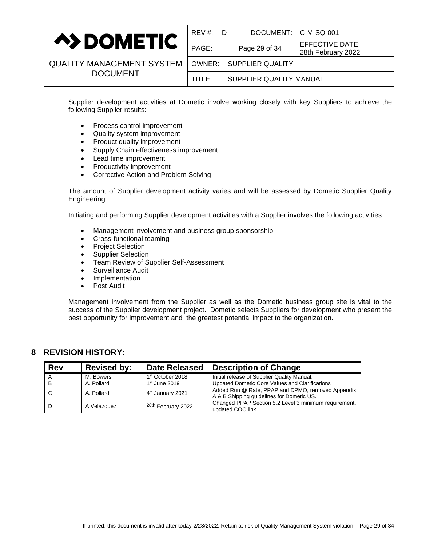

| REV#:D                              |  | DOCUMENT: C-M-SQ-001    |                                              |
|-------------------------------------|--|-------------------------|----------------------------------------------|
| PAGE:                               |  | Page 29 of 34           | <b>EFFECTIVE DATE:</b><br>28th February 2022 |
| <b>SUPPLIER QUALITY</b><br>OWNER: I |  |                         |                                              |
| TITLE:                              |  | SUPPLIER QUALITY MANUAL |                                              |
|                                     |  |                         |                                              |

Supplier development activities at Dometic involve working closely with key Suppliers to achieve the following Supplier results:

- Process control improvement
- Quality system improvement
- Product quality improvement
- Supply Chain effectiveness improvement
- Lead time improvement
- Productivity improvement
- Corrective Action and Problem Solving

The amount of Supplier development activity varies and will be assessed by Dometic Supplier Quality Engineering

Initiating and performing Supplier development activities with a Supplier involves the following activities:

- Management involvement and business group sponsorship
- Cross-functional teaming
- Project Selection
- Supplier Selection
- Team Review of Supplier Self-Assessment
- Surveillance Audit
- **Implementation**
- Post Audit

Management involvement from the Supplier as well as the Dometic business group site is vital to the success of the Supplier development project. Dometic selects Suppliers for development who present the best opportunity for improvement and the greatest potential impact to the organization.

# <span id="page-28-0"></span>**8 REVISION HISTORY:**

| <b>Rev</b> | <b>Revised by:</b> | <b>Date Released</b>          | <b>Description of Change</b>                                                                   |
|------------|--------------------|-------------------------------|------------------------------------------------------------------------------------------------|
|            | M. Bowers          | 1 <sup>st</sup> October 2018  | Initial release of Supplier Quality Manual.                                                    |
| B          | A. Pollard         | $1st$ June 2019               | Updated Dometic Core Values and Clarifications                                                 |
| ⊤ C        | A. Pollard         | 4 <sup>th</sup> January 2021  | Added Run @ Rate, PPAP and DPMO, removed Appendix<br>A & B Shipping guidelines for Dometic US. |
| ID.        | A Velazquez        | <sup>28th</sup> February 2022 | Changed PPAP Section 5.2 Level 3 minimum requirement,<br>updated COC link                      |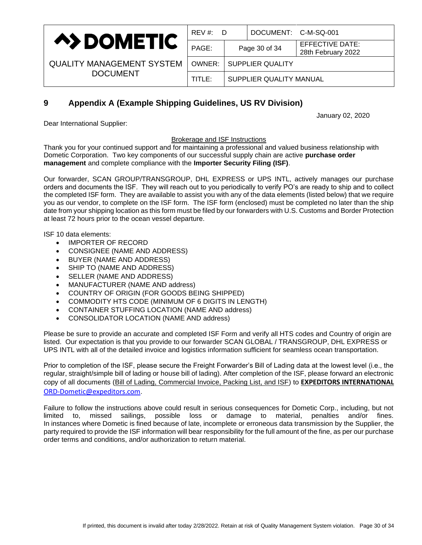

| REV #:<br>D                       |                         | DOCUMENT: C-M-SQ-001 |                                              |
|-----------------------------------|-------------------------|----------------------|----------------------------------------------|
| PAGE:                             |                         | Page 30 of 34        | <b>EFFECTIVE DATE:</b><br>28th February 2022 |
| <b>SUPPLIER QUALITY</b><br>OWNER: |                         |                      |                                              |
| TITLE:                            | SUPPLIER QUALITY MANUAL |                      |                                              |
|                                   |                         |                      |                                              |

# <span id="page-29-0"></span>**9 Appendix A (Example Shipping Guidelines, US RV Division)**

January 02, 2020

Dear International Supplier:

Brokerage and ISF Instructions

Thank you for your continued support and for maintaining a professional and valued business relationship with Dometic Corporation. Two key components of our successful supply chain are active **purchase order management** and complete compliance with the **Importer Security Filing (ISF)**.

Our forwarder, SCAN GROUP/TRANSGROUP, DHL EXPRESS or UPS INTL, actively manages our purchase orders and documents the ISF. They will reach out to you periodically to verify PO's are ready to ship and to collect the completed ISF form. They are available to assist you with any of the data elements (listed below) that we require you as our vendor, to complete on the ISF form. The ISF form (enclosed) must be completed no later than the ship date from your shipping location as this form must be filed by our forwarders with U.S. Customs and Border Protection at least 72 hours prior to the ocean vessel departure.

ISF 10 data elements:

- IMPORTER OF RECORD
- CONSIGNEE (NAME AND ADDRESS)
- BUYER (NAME AND ADDRESS)
- SHIP TO (NAME AND ADDRESS)
- SELLER (NAME AND ADDRESS)
- MANUFACTURER (NAME AND address)
- COUNTRY OF ORIGIN (FOR GOODS BEING SHIPPED)
- COMMODITY HTS CODE (MINIMUM OF 6 DIGITS IN LENGTH)
- CONTAINER STUFFING LOCATION (NAME AND address)
- CONSOLIDATOR LOCATION (NAME AND address)

Please be sure to provide an accurate and completed ISF Form and verify all HTS codes and Country of origin are listed. Our expectation is that you provide to our forwarder SCAN GLOBAL / TRANSGROUP, DHL EXPRESS or UPS INTL with all of the detailed invoice and logistics information sufficient for seamless ocean transportation.

Prior to completion of the ISF, please secure the Freight Forwarder's Bill of Lading data at the lowest level (i.e., the regular, straight/simple bill of lading or house bill of lading). After completion of the ISF, please forward an electronic copy of all documents (Bill of Lading, Commercial Invoice, Packing List, and ISF) to **EXPEDITORS INTERNATIONAL** [ORD-Dometic@expeditors.com](mailto:ORD-Dometic@expeditors.com).

Failure to follow the instructions above could result in serious consequences for Dometic Corp., including, but not limited to, missed sailings, possible loss or damage to material, penalties and/or fines. In instances where Dometic is fined because of late, incomplete or erroneous data transmission by the Supplier, the party required to provide the ISF information will bear responsibility for the full amount of the fine, as per our purchase order terms and conditions, and/or authorization to return material.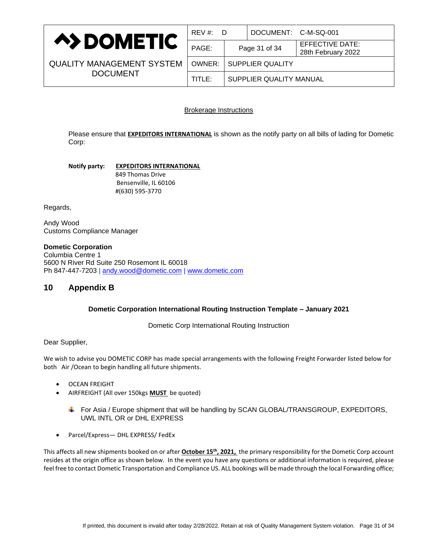

| REV #:<br>D                         |  | DOCUMENT: C-M-SQ-001 |                                              |
|-------------------------------------|--|----------------------|----------------------------------------------|
| PAGE:                               |  | Page 31 of 34        | <b>EFFECTIVE DATE:</b><br>28th February 2022 |
| <b>SUPPLIER QUALITY</b><br>OWNER: I |  |                      |                                              |
| SUPPLIER QUALITY MANUAL<br>TITLE:   |  |                      |                                              |
|                                     |  |                      |                                              |

### Brokerage Instructions

Please ensure that **EXPEDITORS INTERNATIONAL** is shown as the notify party on all bills of lading for Dometic Corp:

**Notify party: EXPEDITORS INTERNATIONAL** 849 Thomas Drive Bensenville, IL 60106 #(630) 595-3770

Regards,

Andy Wood Customs Compliance Manager

### **Dometic Corporation**

Columbia Centre 1 5600 N River Rd Suite 250 Rosemont IL 60018 Ph 847-447-7203 | [andy.wood@dometic.com](mailto:andy.wood@dometic.com) | [www.dometic.com](http://www.dometic.com/)

# <span id="page-30-0"></span>**10 Appendix B**

### **Dometic Corporation International Routing Instruction Template – January 2021**

Dometic Corp International Routing Instruction

### Dear Supplier,

We wish to advise you DOMETIC CORP has made special arrangements with the following Freight Forwarder listed below for both Air /Ocean to begin handling all future shipments.

- OCEAN FREIGHT
- AIRFREIGHT (All over 150kgs **MUST** be quoted)
	- $\blacktriangle$  For Asia / Europe shipment that will be handling by SCAN GLOBAL/TRANSGROUP, EXPEDITORS, UWL INTL OR or DHL EXPRESS
- Parcel/Express— DHL EXPRESS/ FedEx

This affects all new shipments booked on or after **October 15th , 2021,** the primary responsibility for the Dometic Corp account resides at the origin office as shown below. In the event you have any questions or additional information is required, please feel free to contact Dometic Transportation and Compliance US. ALL bookings will be made through the local Forwarding office;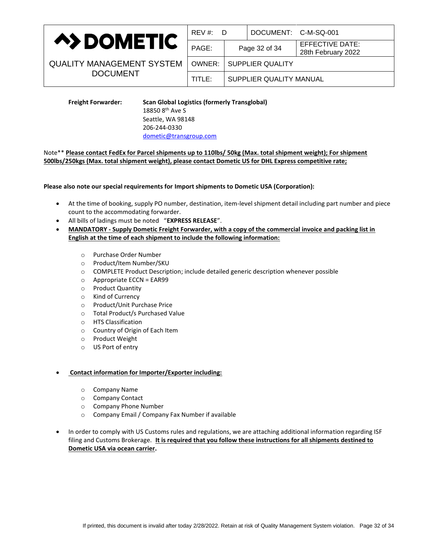

| $REV \#$ :<br>- D          |                         | DOCUMENT: C-M-SQ-001 |                                       |
|----------------------------|-------------------------|----------------------|---------------------------------------|
| PAGE:                      |                         | Page 32 of 34        | EFFECTIVE DATE:<br>28th February 2022 |
| SUPPLIER QUALITY<br>OWNER: |                         |                      |                                       |
| TITLE:                     | SUPPLIER QUALITY MANUAL |                      |                                       |
|                            |                         |                      |                                       |

> **Freight Forwarder: Scan Global Logistics (formerly Transglobal)** 18850 8th Ave S Seattle, WA 98148 206-244-0330 [dometic@transgroup.com](mailto:dometic@transgroup.com)

### Note\*\* **Please contact FedEx for Parcel shipments up to 110lbs/ 50kg (Max. total shipment weight); For shipment 500lbs/250kgs (Max. total shipment weight), please contact Dometic US for DHL Express competitive rate;**

**Please also note our special requirements for Import shipments to Dometic USA (Corporation):**

- At the time of booking, supply PO number, destination, item-level shipment detail including part number and piece count to the accommodating forwarder.
- All bills of ladings must be noted "**EXPRESS RELEASE**".
- **MANDATORY - Supply Dometic Freight Forwarder, with a copy of the commercial invoice and packing list in English at the time of each shipment to include the following information:**
	- o Purchase Order Number
	- o Product/Item Number/SKU
	- o COMPLETE Product Description; include detailed generic description whenever possible
	- o Appropriate ECCN = EAR99
	- o Product Quantity
	- o Kind of Currency
	- o Product/Unit Purchase Price
	- o Total Product/s Purchased Value
	- o HTS Classification
	- o Country of Origin of Each Item
	- o Product Weight
	- o US Port of entry

### • **Contact information for Importer/Exporter including:**

- o Company Name
- o Company Contact
- o Company Phone Number
- o Company Email / Company Fax Number if available
- In order to comply with US Customs rules and regulations, we are attaching additional information regarding ISF filing and Customs Brokerage. **It is required that you follow these instructions for all shipments destined to Dometic USA via ocean carrier.**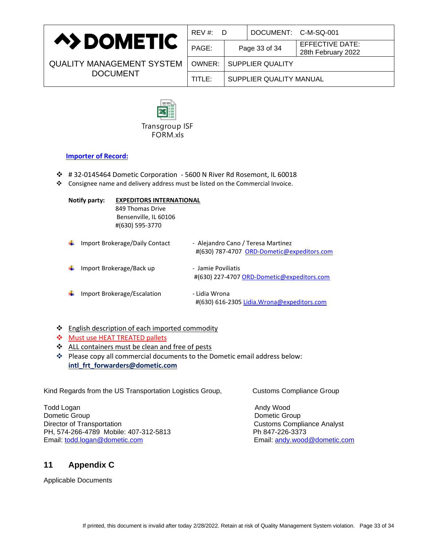

| REV #: D                          |  | DOCUMENT: C-M-SQ-001 |                                              |
|-----------------------------------|--|----------------------|----------------------------------------------|
| PAGE:                             |  | Page 33 of 34        | <b>EFFECTIVE DATE:</b><br>28th February 2022 |
| <b>SUPPLIER QUALITY</b><br>OWNER: |  |                      |                                              |
| SUPPLIER QUALITY MANUAL<br>TITLE: |  |                      |                                              |
|                                   |  |                      |                                              |



### **Importer of Record:**

- ❖ # 32-0145464 Dometic Corporation 5600 N River Rd Rosemont, IL 60018
- ❖ Consignee name and delivery address must be listed on the Commercial Invoice.

|                  |                                                                              | Transgroup ISF<br>FORM.xls                                                                                                                                                                                                                              |                                    |                                                                                                                                  |  |
|------------------|------------------------------------------------------------------------------|---------------------------------------------------------------------------------------------------------------------------------------------------------------------------------------------------------------------------------------------------------|------------------------------------|----------------------------------------------------------------------------------------------------------------------------------|--|
|                  | <b>Importer of Record:</b>                                                   |                                                                                                                                                                                                                                                         |                                    |                                                                                                                                  |  |
| ❖<br>❖           |                                                                              | #32-0145464 Dometic Corporation - 5600 N River Rd Rosemont, IL 60018<br>Consignee name and delivery address must be listed on the Commercial Invoice.                                                                                                   |                                    |                                                                                                                                  |  |
|                  | Notify party:                                                                | <b>EXPEDITORS INTERNATIONAL</b><br>849 Thomas Drive<br>Bensenville, IL 60106<br>#(630) 595-3770                                                                                                                                                         |                                    |                                                                                                                                  |  |
|                  |                                                                              | Import Brokerage/Daily Contact                                                                                                                                                                                                                          | - Alejandro Cano / Teresa Martinez | #(630) 787-4707 ORD-Dometic@expeditors.com                                                                                       |  |
|                  |                                                                              | Import Brokerage/Back up                                                                                                                                                                                                                                | - Jamie Poviliatis                 | #(630) 227-4707 ORD-Dometic@expeditors.com                                                                                       |  |
|                  |                                                                              | Import Brokerage/Escalation                                                                                                                                                                                                                             | - Lidia Wrona                      | #(630) 616-2305 Lidia. Wrona@expeditors.com                                                                                      |  |
| ❖<br>❖<br>❖<br>❖ |                                                                              | English description of each imported commodity<br><b>Must use HEAT TREATED pallets</b><br>ALL containers must be clean and free of pests<br>Please copy all commercial documents to the Dometic email address below:<br>intl_frt_forwarders@dometic.com |                                    |                                                                                                                                  |  |
|                  |                                                                              | Kind Regards from the US Transportation Logistics Group,                                                                                                                                                                                                |                                    | <b>Customs Compliance Group</b>                                                                                                  |  |
| Todd Logan       | Dometic Group<br>Director of Transportation<br>Email: todd.logan@dometic.com | PH, 574-266-4789 Mobile: 407-312-5813                                                                                                                                                                                                                   |                                    | Andy Wood<br>Dometic Group<br><b>Customs Compliance Analyst</b><br>Ph 847-226-3373<br>Email: andy.wood@dometic.com               |  |
| 11               | <b>Appendix C</b>                                                            |                                                                                                                                                                                                                                                         |                                    |                                                                                                                                  |  |
|                  | <b>Applicable Documents</b>                                                  |                                                                                                                                                                                                                                                         |                                    |                                                                                                                                  |  |
|                  |                                                                              |                                                                                                                                                                                                                                                         |                                    | If printed, this document is invalid after today 2/28/2022. Retain at risk of Quality Management System violation. Page 33 of 34 |  |
|                  |                                                                              |                                                                                                                                                                                                                                                         |                                    |                                                                                                                                  |  |

- ❖ English description of each imported commodity
- ❖ Must use HEAT TREATED pallets
- ❖ ALL containers must be clean and free of pests
- <span id="page-32-0"></span>❖ Please copy all commercial documents to the Dometic email address below: **[intl\\_frt\\_forwarders@dometic.com](mailto:intl_frt_forwarders@dometic.com)**